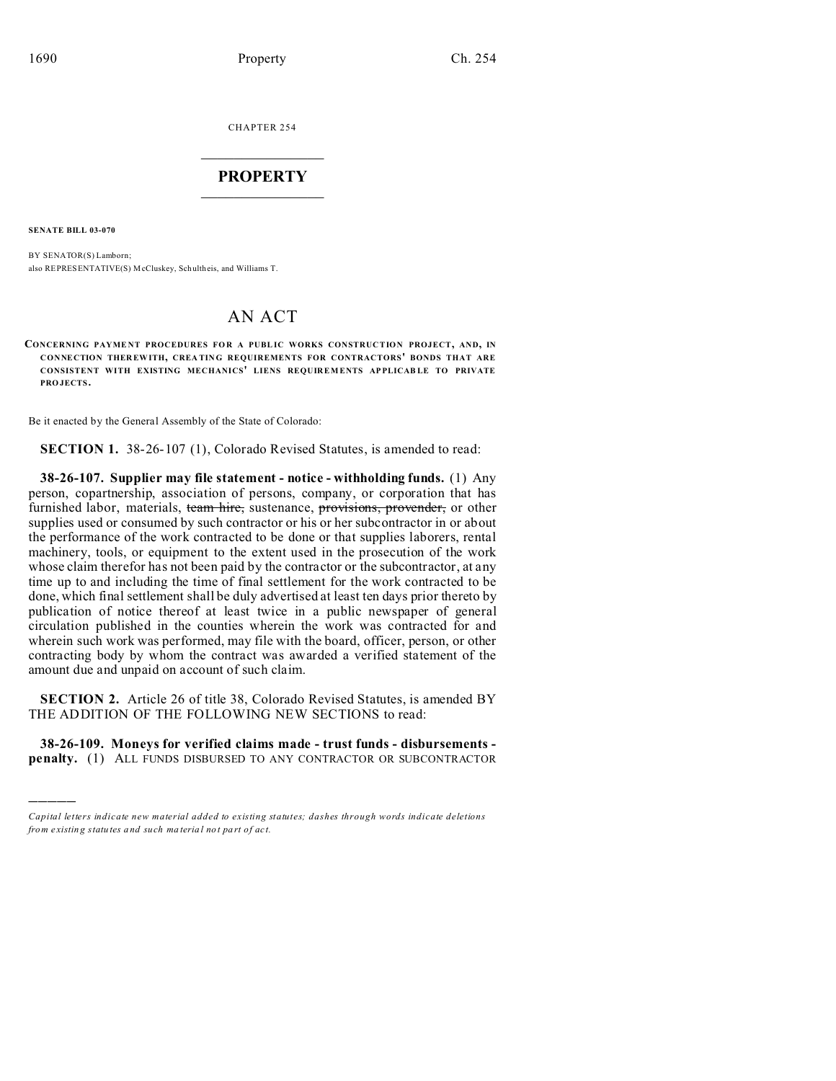CHAPTER 254  $\overline{\phantom{a}}$  , where  $\overline{\phantom{a}}$ 

## **PROPERTY**  $\_$   $\_$   $\_$   $\_$   $\_$   $\_$   $\_$   $\_$   $\_$   $\_$

**SENATE BILL 03-070**

)))))

BY SENATOR(S) Lamborn; also REPRESENTATIVE(S) McCluskey, Schultheis, and Williams T.

## AN ACT

**CONCERNING PAYME NT PROCEDURES FO R A PUBL IC WORKS CONSTRUCTION PROJECT, AND, IN CONNECTION THER EWITH, CREA TING REQUIREMENTS FOR CONTRACTORS' BONDS THAT ARE CONSISTENT WITH EXISTING MECHANICS' LIENS REQUIREMENTS AP PLICAB LE TO PRIVATE PRO JECTS.**

Be it enacted by the General Assembly of the State of Colorado:

**SECTION 1.** 38-26-107 (1), Colorado Revised Statutes, is amended to read:

**38-26-107. Supplier may file statement - notice - withholding funds.** (1) Any person, copartnership, association of persons, company, or corporation that has furnished labor, materials, team hire, sustenance, provisions, provender, or other supplies used or consumed by such contractor or his or her subcontractor in or about the performance of the work contracted to be done or that supplies laborers, rental machinery, tools, or equipment to the extent used in the prosecution of the work whose claim therefor has not been paid by the contractor or the subcontractor, at any time up to and including the time of final settlement for the work contracted to be done, which final settlement shall be duly advertised at least ten days prior thereto by publication of notice thereof at least twice in a public newspaper of general circulation published in the counties wherein the work was contracted for and wherein such work was performed, may file with the board, officer, person, or other contracting body by whom the contract was awarded a verified statement of the amount due and unpaid on account of such claim.

**SECTION 2.** Article 26 of title 38, Colorado Revised Statutes, is amended BY THE ADDITION OF THE FOLLOWING NEW SECTIONS to read:

**38-26-109. Moneys for verified claims made - trust funds - disbursements penalty.** (1) ALL FUNDS DISBURSED TO ANY CONTRACTOR OR SUBCONTRACTOR

*Capital letters indicate new material added to existing statutes; dashes through words indicate deletions from e xistin g statu tes a nd such ma teria l no t pa rt of ac t.*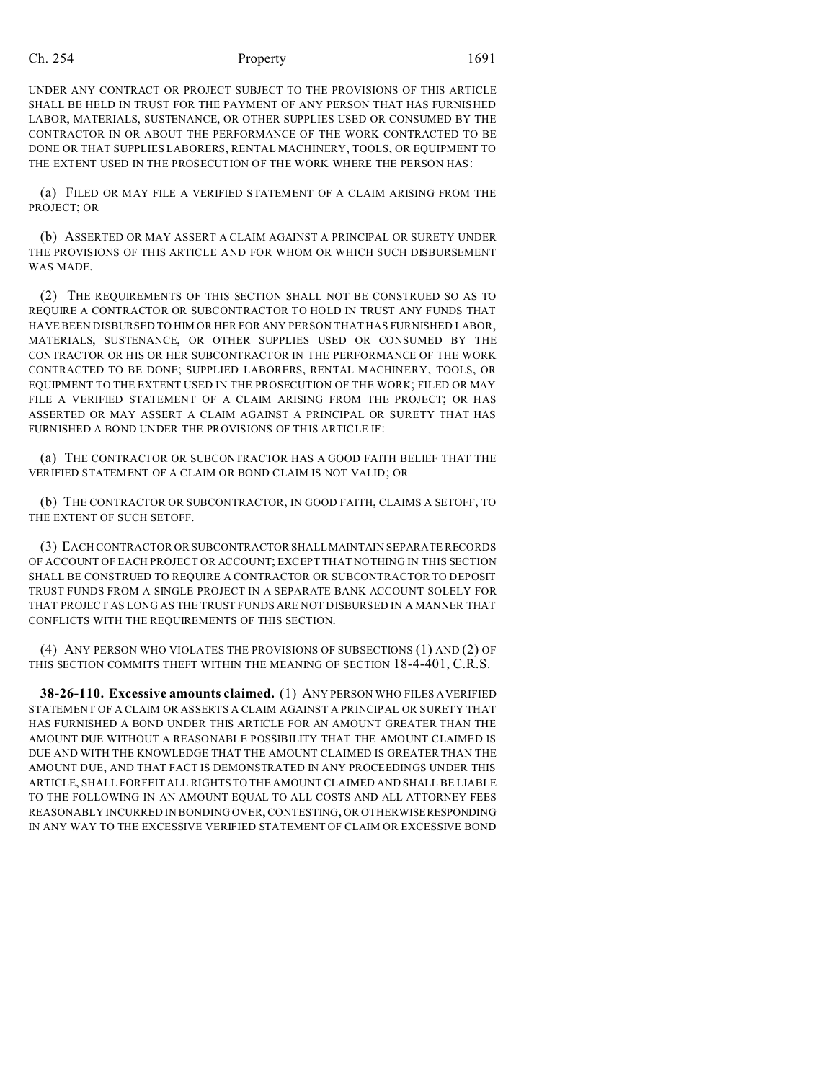## Ch. 254 **Property** 254 **Property** 2691

UNDER ANY CONTRACT OR PROJECT SUBJECT TO THE PROVISIONS OF THIS ARTICLE SHALL BE HELD IN TRUST FOR THE PAYMENT OF ANY PERSON THAT HAS FURNISHED LABOR, MATERIALS, SUSTENANCE, OR OTHER SUPPLIES USED OR CONSUMED BY THE CONTRACTOR IN OR ABOUT THE PERFORMANCE OF THE WORK CONTRACTED TO BE DONE OR THAT SUPPLIES LABORERS, RENTAL MACHINERY, TOOLS, OR EQUIPMENT TO THE EXTENT USED IN THE PROSECUTION OF THE WORK WHERE THE PERSON HAS:

(a) FILED OR MAY FILE A VERIFIED STATEMENT OF A CLAIM ARISING FROM THE PROJECT; OR

(b) ASSERTED OR MAY ASSERT A CLAIM AGAINST A PRINCIPAL OR SURETY UNDER THE PROVISIONS OF THIS ARTICLE AND FOR WHOM OR WHICH SUCH DISBURSEMENT WAS MADE.

(2) THE REQUIREMENTS OF THIS SECTION SHALL NOT BE CONSTRUED SO AS TO REQUIRE A CONTRACTOR OR SUBCONTRACTOR TO HOLD IN TRUST ANY FUNDS THAT HAVE BEEN DISBURSED TO HIM OR HER FOR ANY PERSON THAT HAS FURNISHED LABOR, MATERIALS, SUSTENANCE, OR OTHER SUPPLIES USED OR CONSUMED BY THE CONTRACTOR OR HIS OR HER SUBCONTRACTOR IN THE PERFORMANCE OF THE WORK CONTRACTED TO BE DONE; SUPPLIED LABORERS, RENTAL MACHINERY, TOOLS, OR EQUIPMENT TO THE EXTENT USED IN THE PROSECUTION OF THE WORK; FILED OR MAY FILE A VERIFIED STATEMENT OF A CLAIM ARISING FROM THE PROJECT; OR HAS ASSERTED OR MAY ASSERT A CLAIM AGAINST A PRINCIPAL OR SURETY THAT HAS FURNISHED A BOND UNDER THE PROVISIONS OF THIS ARTICLE IF:

(a) THE CONTRACTOR OR SUBCONTRACTOR HAS A GOOD FAITH BELIEF THAT THE VERIFIED STATEMENT OF A CLAIM OR BOND CLAIM IS NOT VALID; OR

(b) THE CONTRACTOR OR SUBCONTRACTOR, IN GOOD FAITH, CLAIMS A SETOFF, TO THE EXTENT OF SUCH SETOFF.

(3) EACH CONTRACTOR OR SUBCONTRACTOR SHALL MAINTAIN SEPARATE RECORDS OF ACCOUNT OF EACH PROJECT OR ACCOUNT; EXCEPT THAT NOTHING IN THIS SECTION SHALL BE CONSTRUED TO REQUIRE A CONTRACTOR OR SUBCONTRACTOR TO DEPOSIT TRUST FUNDS FROM A SINGLE PROJECT IN A SEPARATE BANK ACCOUNT SOLELY FOR THAT PROJECT AS LONG AS THE TRUST FUNDS ARE NOT DISBURSED IN A MANNER THAT CONFLICTS WITH THE REQUIREMENTS OF THIS SECTION.

(4) ANY PERSON WHO VIOLATES THE PROVISIONS OF SUBSECTIONS (1) AND (2) OF THIS SECTION COMMITS THEFT WITHIN THE MEANING OF SECTION 18-4-401, C.R.S.

**38-26-110. Excessive amounts claimed.** (1) ANY PERSON WHO FILES A VERIFIED STATEMENT OF A CLAIM OR ASSERTS A CLAIM AGAINST A PRINCIPAL OR SURETY THAT HAS FURNISHED A BOND UNDER THIS ARTICLE FOR AN AMOUNT GREATER THAN THE AMOUNT DUE WITHOUT A REASONABLE POSSIBILITY THAT THE AMOUNT CLAIMED IS DUE AND WITH THE KNOWLEDGE THAT THE AMOUNT CLAIMED IS GREATER THAN THE AMOUNT DUE, AND THAT FACT IS DEMONSTRATED IN ANY PROCEEDINGS UNDER THIS ARTICLE, SHALL FORFEIT ALL RIGHTS TO THE AMOUNT CLAIMED AND SHALL BE LIABLE TO THE FOLLOWING IN AN AMOUNT EQUAL TO ALL COSTS AND ALL ATTORNEY FEES REASONABLY INCURRED IN BONDING OVER, CONTESTING, OR OTHERWISERESPONDING IN ANY WAY TO THE EXCESSIVE VERIFIED STATEMENT OF CLAIM OR EXCESSIVE BOND